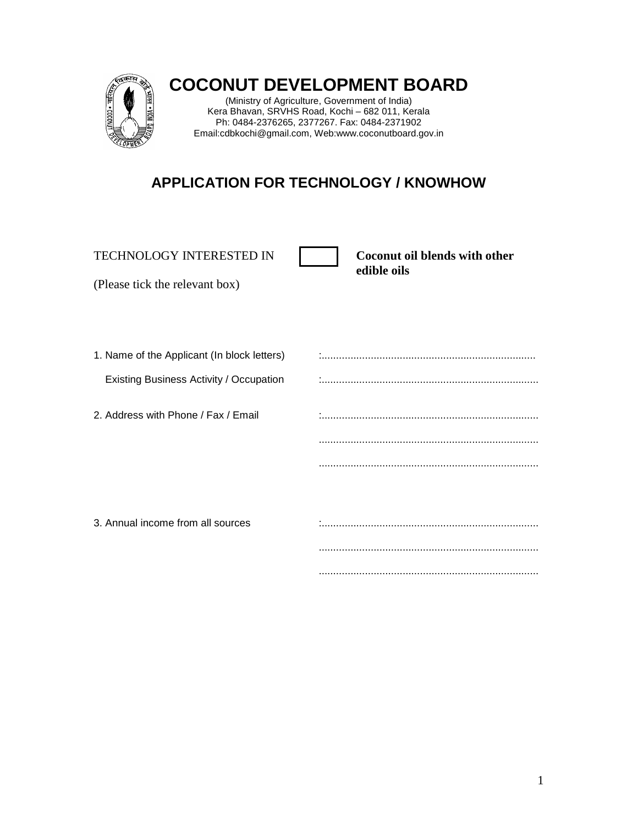

# **COCONUT DEVELOPMENT BOARD**

(Ministry of Agriculture, Government of India) Kera Bhavan, SRVHS Road, Kochi – 682 011, Kerala Ph: 0484-2376265, 2377267. Fax: 0484-2371902 Email:cdbkochi@gmail.com, Web:www.coconutboard.gov.in

## **APPLICATION FOR TECHNOLOGY / KNOWHOW**

| TECHNOLOGY INTERESTED IN<br>(Please tick the relevant box) | <b>Coconut oil blends with other</b><br>edible oils |
|------------------------------------------------------------|-----------------------------------------------------|
| 1. Name of the Applicant (In block letters)                |                                                     |
| Existing Business Activity / Occupation                    |                                                     |
| 2. Address with Phone / Fax / Email                        |                                                     |
|                                                            |                                                     |
|                                                            |                                                     |
|                                                            |                                                     |
| 3. Annual income from all sources                          |                                                     |
|                                                            |                                                     |
|                                                            |                                                     |